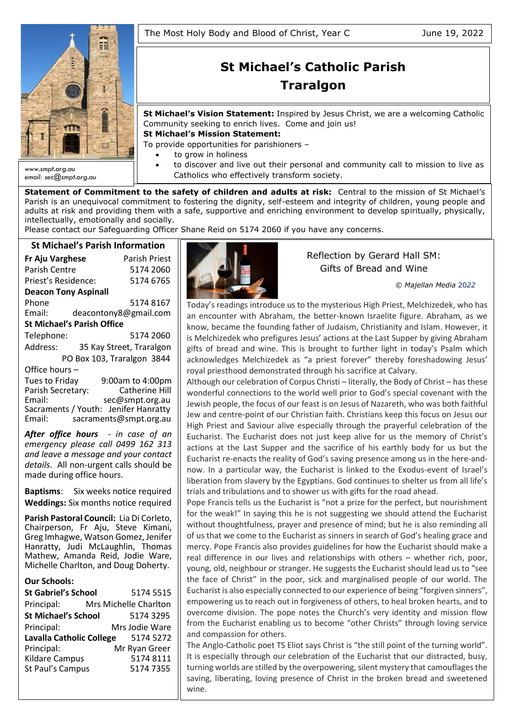

*email: sec@smpt.org.au*

# **St Michael's Catholic Parish Traralgon**

**St Michael's Vision Statement:** Inspired by Jesus Christ, we are a welcoming Catholic Community seeking to enrich lives. Come and join us!

**St Michael's Mission Statement:**

To provide opportunities for parishioners –

- to grow in holiness
- to discover and live out their personal and community call to mission to live as Catholics who effectively transform society.

**Statement of Commitment to the safety of children and adults at risk:** Central to the mission of St Michael's Parish is an unequivocal commitment to fostering the dignity, self-esteem and integrity of children, young people and adults at risk and providing them with a safe, supportive and enriching environment to develop spiritually, physically, intellectually, emotionally and socially.

Please contact our Safeguarding Officer Shane Reid on 5174 2060 if you have any concerns.

# **St Michael's Parish Information**

| <b>Fr Aju Varghese</b>            | Parish Priest              |  |  |  |  |
|-----------------------------------|----------------------------|--|--|--|--|
| Parish Centre                     | 5174 2060                  |  |  |  |  |
| Priest's Residence:               | 5174 6765                  |  |  |  |  |
| <b>Deacon Tony Aspinall</b>       |                            |  |  |  |  |
| Phone                             | 51748167                   |  |  |  |  |
| Email:                            | deacontony8@gmail.com      |  |  |  |  |
| <b>St Michael's Parish Office</b> |                            |  |  |  |  |
| Telephone:                        | 5174 2060                  |  |  |  |  |
| Address:                          | 35 Kay Street, Traralgon   |  |  |  |  |
|                                   | PO Box 103, Traralgon 3844 |  |  |  |  |
| Office hours-                     |                            |  |  |  |  |
| Tues to Friday                    | 9:00am to 4:00pm           |  |  |  |  |
| Parish Secretary:                 | <b>Catherine Hill</b>      |  |  |  |  |
| Email:                            | sec@smpt.org.au            |  |  |  |  |

Sacraments / Youth: Jenifer Hanratty<br>Email: sacraments@smpt.org.au [sacraments@smpt.org.au](mailto:sacraments@smpt.org.au)

*After office hours - in case of an emergency please call 0499 162 313 and leave a message and your contact details.* All non-urgent calls should be made during office hours.

**Baptisms**: Six weeks notice required **Weddings:** Six months notice required

**Parish Pastoral Council:** Lia Di Corleto, Chairperson, Fr Aju, Steve Kimani, Greg Imhagwe, Watson Gomez, Jenifer Hanratty, Judi McLaughlin, Thomas Mathew, Amanda Reid, Jodie Ware, Michelle Charlton, and Doug Doherty.

#### **Our Schools:**

| <b>St Gabriel's School</b>      | 5174 5515             |
|---------------------------------|-----------------------|
| Principal:                      | Mrs Michelle Charlton |
| <b>St Michael's School</b>      | 5174 3295             |
| Principal:                      | Mrs Jodie Ware        |
| <b>Lavalla Catholic College</b> | 5174 5272             |
| Principal:                      | Mr Ryan Greer         |
| Kildare Campus                  | 51748111              |
| St Paul's Campus                | 5174 7355             |
|                                 |                       |



# Reflection by Gerard Hall SM: Gifts of Bread and Wine

*© Majellan Media* 20*22*

Today's readings introduce us to the mysterious High Priest, Melchizedek, who has an encounter with Abraham, the better-known Israelite figure. Abraham, as we know, became the founding father of Judaism, Christianity and Islam. However, it is Melchizedek who prefigures Jesus' actions at the Last Supper by giving Abraham gifts of bread and wine. This is brought to further light in today's Psalm which acknowledges Melchizedek as "a priest forever" thereby foreshadowing Jesus' royal priesthood demonstrated through his sacrifice at Calvary.

Although our celebration of Corpus Christi – literally, the Body of Christ – has these wonderful connections to the world well prior to God's special covenant with the Jewish people, the focus of our feast is on Jesus of Nazareth, who was both faithful Jew and centre-point of our Christian faith. Christians keep this focus on Jesus our High Priest and Saviour alive especially through the prayerful celebration of the Eucharist. The Eucharist does not just keep alive for us the memory of Christ's actions at the Last Supper and the sacrifice of his earthly body for us but the Eucharist re-enacts the reality of God's saving presence among us in the here-andnow. In a particular way, the Eucharist is linked to the Exodus-event of Israel's liberation from slavery by the Egyptians. God continues to shelter us from all life's trials and tribulations and to shower us with gifts for the road ahead.

Pope Francis tells us the Eucharist is "not a prize for the perfect, but nourishment for the weak!" In saying this he is not suggesting we should attend the Eucharist without thoughtfulness, prayer and presence of mind; but he is also reminding all of us that we come to the Eucharist as sinners in search of God's healing grace and mercy. Pope Francis also provides guidelines for how the Eucharist should make a real difference in our lives and relationships with others – whether rich, poor, young, old, neighbour or stranger. He suggests the Eucharist should lead us to "see the face of Christ" in the poor, sick and marginalised people of our world. The Eucharist is also especially connected to our experience of being "forgiven sinners", empowering us to reach out in forgiveness of others, to heal broken hearts, and to overcome division. The pope notes the Church's very identity and mission flow from the Eucharist enabling us to become "other Christs" through loving service and compassion for others.

The Anglo-Catholic poet TS Eliot says Christ is "the still point of the turning world". It is especially through our celebration of the Eucharist that our distracted, busy, turning worlds are stilled by the overpowering, silent mystery that camouflages the saving, liberating, loving presence of Christ in the broken bread and sweetened wine.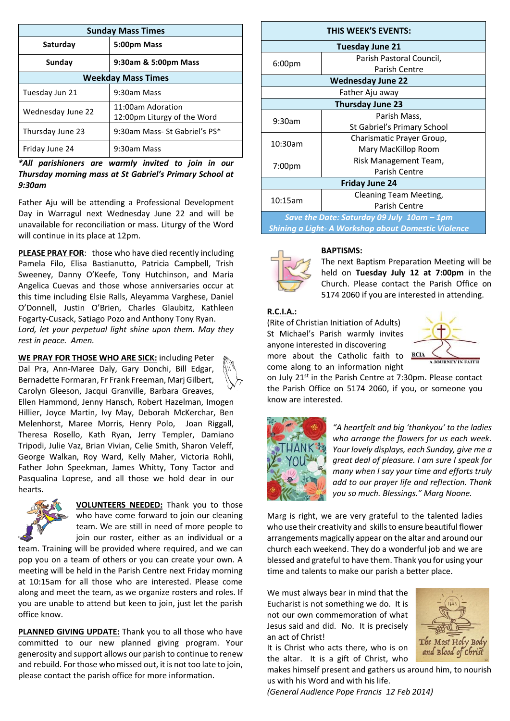| <b>Sunday Mass Times</b>  |                                                  |  |  |  |
|---------------------------|--------------------------------------------------|--|--|--|
| Saturday                  | 5:00pm Mass                                      |  |  |  |
| Sunday                    | 9:30am & 5:00pm Mass                             |  |  |  |
| <b>Weekday Mass Times</b> |                                                  |  |  |  |
| Tuesday Jun 21            | 9:30am Mass                                      |  |  |  |
| Wednesday June 22         | 11:00am Adoration<br>12:00pm Liturgy of the Word |  |  |  |
| Thursday June 23          | 9:30am Mass- St Gabriel's PS*                    |  |  |  |
| Friday June 24            | 9:30am Mass                                      |  |  |  |

## *\*All parishioners are warmly invited to join in our Thursday morning mass at St Gabriel's Primary School at 9:30am*

Father Aju will be attending a Professional Development Day in Warragul next Wednesday June 22 and will be unavailable for reconciliation or mass. Liturgy of the Word will continue in its place at 12pm.

**PLEASE PRAY FOR**: those who have died recently including Pamela Filo, Elisa Bastianutto, Patricia Campbell, Trish Sweeney, Danny O'Keefe, Tony Hutchinson, and Maria Angelica Cuevas and those whose anniversaries occur at this time including Elsie Ralls, Aleyamma Varghese, Daniel O'Donnell, Justin O'Brien, Charles Glaubitz, Kathleen Fogarty-Cusack, Satiago Pozo and Anthony Tony Ryan. *Lord, let your perpetual light shine upon them. May they rest in peace. Amen.*

**WE PRAY FOR THOSE WHO ARE SICK:** including Peter Dal Pra, Ann-Maree Daly, Gary Donchi, Bill Edgar, Bernadette Formaran, Fr Frank Freeman, Marj Gilbert, Carolyn Gleeson, Jacqui Granville, Barbara Greaves, Ellen Hammond, Jenny Hansch, Robert Hazelman, Imogen Hillier, Joyce Martin, Ivy May, Deborah McKerchar, Ben Melenhorst, Maree Morris, Henry Polo, Joan Riggall, Theresa Rosello, Kath Ryan, Jerry Templer, Damiano Tripodi, Julie Vaz, Brian Vivian, Celie Smith, Sharon Veleff, George Walkan, Roy Ward, Kelly Maher, Victoria Rohli, Father John Speekman, James Whitty, Tony Tactor and Pasqualina Loprese, and all those we hold dear in our hearts.



**VOLUNTEERS NEEDED:** Thank you to those who have come forward to join our cleaning team. We are still in need of more people to join our roster, either as an individual or a

team. Training will be provided where required, and we can pop you on a team of others or you can create your own. A meeting will be held in the Parish Centre next Friday morning at 10:15am for all those who are interested. Please come along and meet the team, as we organize rosters and roles. If you are unable to attend but keen to join, just let the parish office know.

**PLANNED GIVING UPDATE:** Thank you to all those who have committed to our new planned giving program. Your generosity and support allows our parish to continue to renew and rebuild. For those who missed out, it is not too late to join, please contact the parish office for more information.

| THIS WEEK'S EVENTS:                                        |                             |  |  |  |
|------------------------------------------------------------|-----------------------------|--|--|--|
| <b>Tuesday June 21</b>                                     |                             |  |  |  |
| 6:00 <sub>pm</sub>                                         | Parish Pastoral Council,    |  |  |  |
|                                                            | Parish Centre               |  |  |  |
| <b>Wednesday June 22</b>                                   |                             |  |  |  |
| Father Aju away                                            |                             |  |  |  |
| <b>Thursday June 23</b>                                    |                             |  |  |  |
| 9:30am                                                     | Parish Mass,                |  |  |  |
|                                                            | St Gabriel's Primary School |  |  |  |
| 10:30am                                                    | Charismatic Prayer Group,   |  |  |  |
|                                                            | Mary MacKillop Room         |  |  |  |
| 7:00pm                                                     | Risk Management Team,       |  |  |  |
|                                                            | Parish Centre               |  |  |  |
| <b>Friday June 24</b>                                      |                             |  |  |  |
| 10:15am                                                    | Cleaning Team Meeting,      |  |  |  |
|                                                            | Parish Centre               |  |  |  |
| Save the Date: Saturday 09 July 10am - 1pm                 |                             |  |  |  |
| <b>Shining a Light- A Workshop about Domestic Violence</b> |                             |  |  |  |

#### **BAPTISMS:**



The next Baptism Preparation Meeting will be held on **Tuesday July 12 at 7:00pm** in the Church. Please contact the Parish Office on 5174 2060 if you are interested in attending.

## **R.C.I.A.:**

(Rite of Christian Initiation of Adults) St Michael's Parish warmly invites anyone interested in discovering more about the Catholic faith to RCIA come along to an information night



on July 21st in the Parish Centre at 7:30pm. Please contact the Parish Office on 5174 2060, if you, or someone you know are interested.



*"A heartfelt and big 'thankyou' to the ladies who arrange the flowers for us each week. Your lovely displays, each Sunday, give me a great deal of pleasure. I am sure I speak for many when I say your time and efforts truly add to our prayer life and reflection. Thank you so much. Blessings." Marg Noone.*

Marg is right, we are very grateful to the talented ladies who use their creativity and skills to ensure beautiful flower arrangements magically appear on the altar and around our church each weekend. They do a wonderful job and we are blessed and grateful to have them. Thank you for using your time and talents to make our parish a better place.

We must always bear in mind that the Eucharist is not something we do. It is not our own commemoration of what Jesus said and did. No. It is precisely an act of Christ!

It is Christ who acts there, who is on the altar. It is a gift of Christ, who



makes himself present and gathers us around him, to nourish us with his Word and with his life.

*(General Audience Pope Francis 12 Feb 2014)*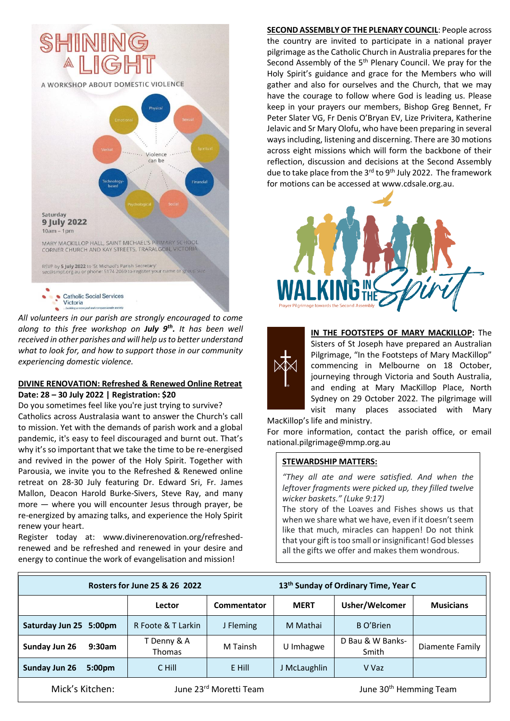

*All volunteers in our parish are strongly encouraged to come along to this free workshop on July 9th . It has been well received in other parishes and will help us to better understand what to look for, and how to support those in our community experiencing domestic violence.*

## **DIVINE RENOVATION: Refreshed & Renewed Online Retreat Date: 28 – 30 July 2022 | Registration: \$20**

Do you sometimes feel like you're just trying to survive? Catholics across Australasia want to answer the Church's call to mission. Yet with the demands of parish work and a global pandemic, it's easy to feel discouraged and burnt out. That's why it's so important that we take the time to be re-energised and revived in the power of the Holy Spirit. Together with Parousia, we invite you to the Refreshed & Renewed online retreat on 28-30 July featuring Dr. Edward Sri, Fr. James Mallon, Deacon Harold Burke-Sivers, Steve Ray, and many more — where you will encounter Jesus through prayer, be re-energized by amazing talks, and experience the Holy Spirit renew your heart.

Register today at: [www.divinerenovation.org/refreshed](http://www.divinerenovation.org/refreshed-renewed)[renewed](http://www.divinerenovation.org/refreshed-renewed) and be refreshed and renewed in your desire and energy to continue the work of evangelisation and mission!

**SECOND ASSEMBLY OF THE PLENARY COUNCIL**: People across the country are invited to participate in a national prayer pilgrimage as the Catholic Church in Australia prepares for the Second Assembly of the 5<sup>th</sup> Plenary Council. We pray for the Holy Spirit's guidance and grace for the Members who will gather and also for ourselves and the Church, that we may have the courage to follow where God is leading us. Please keep in your prayers our members, Bishop Greg Bennet, Fr Peter Slater VG, Fr Denis O'Bryan EV, Lize Privitera, Katherine Jelavic and Sr Mary Olofu, who have been preparing in several ways including, listening and discerning. There are 30 motions across eight missions which will form the backbone of their reflection, discussion and decisions at the Second Assembly due to take place from the 3<sup>rd</sup> to 9<sup>th</sup> July 2022. The framework for motions can be accessed at [www.cdsale.org.au.](http://www.cdsale.org.au/)





**IN THE FOOTSTEPS OF MARY MACKILLOP:** The Sisters of St Joseph have prepared an Australian Pilgrimage, "In the Footsteps of Mary MacKillop" commencing in Melbourne on 18 October, journeying through Victoria and South Australia, and ending at Mary MacKillop Place, North Sydney on 29 October 2022. The pilgrimage will visit many places associated with Mary

MacKillop's life and ministry.

For more information, contact the parish office, or email [national.pilgrimage@mmp.org.au](mailto:national.pilgrimage@mmp.org.au)

## **STEWARDSHIP MATTERS:**

*"They all ate and were satisfied. And when the leftover fragments were picked up, they filled twelve wicker baskets." (Luke 9:17)*

The story of the Loaves and Fishes shows us that when we share what we have, even if it doesn't seem like that much, miracles can happen! Do not think that your gift is too small or insignificant! God blesses all the gifts we offer and makes them wondrous.

| Rosters for June 25 & 26 2022                         |                              |                                    | 13 <sup>th</sup> Sunday of Ordinary Time, Year C |                           |                  |
|-------------------------------------------------------|------------------------------|------------------------------------|--------------------------------------------------|---------------------------|------------------|
|                                                       | Lector                       | Commentator                        | <b>MERT</b>                                      | Usher/Welcomer            | <b>Musicians</b> |
| Saturday Jun 25 5:00pm                                | R Foote & T Larkin           | J Fleming                          | M Mathai                                         | B O'Brien                 |                  |
| Sunday Jun 26<br>9:30am                               | T Denny & A<br><b>Thomas</b> | M Tainsh                           | U Imhagwe                                        | D Bau & W Banks-<br>Smith | Diamente Family  |
| Sunday Jun 26<br>5:00pm                               | C Hill                       | E Hill                             | J McLaughlin                                     | V Vaz                     |                  |
| June 23 <sup>rd</sup> Moretti Team<br>Mick's Kitchen: |                              | June 30 <sup>th</sup> Hemming Team |                                                  |                           |                  |